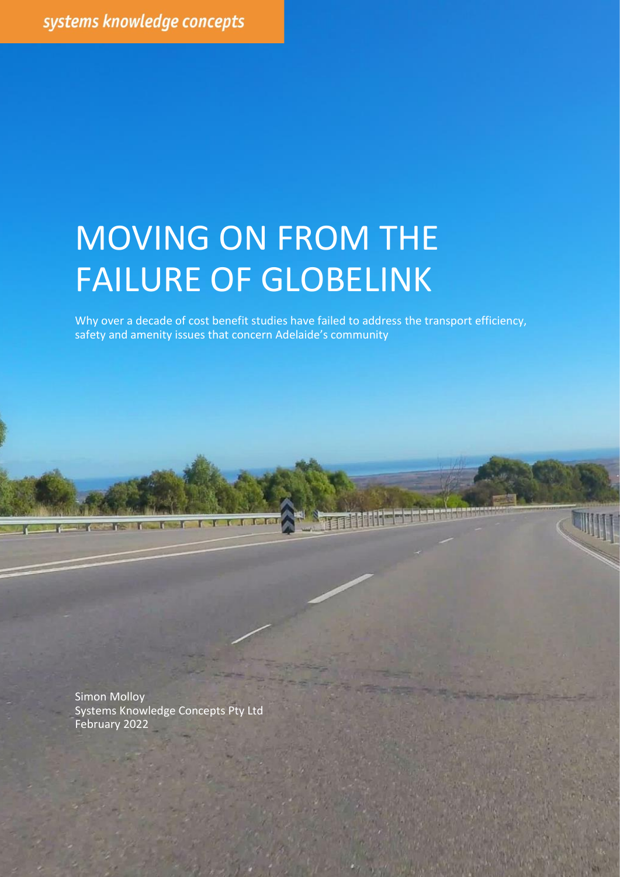# MOVING ON FROM THE FAILURE OF GLOBELINK

Why over a decade of cost benefit studies have failed to address the transport efficiency, safety and amenity issues that concern Adelaide's community

Moving on from the failure of GlobeLink Simon Molloy © 2022 Page | 1

Simon Molloy Systems Knowledge Concepts Pty Ltd February 2022

**The State**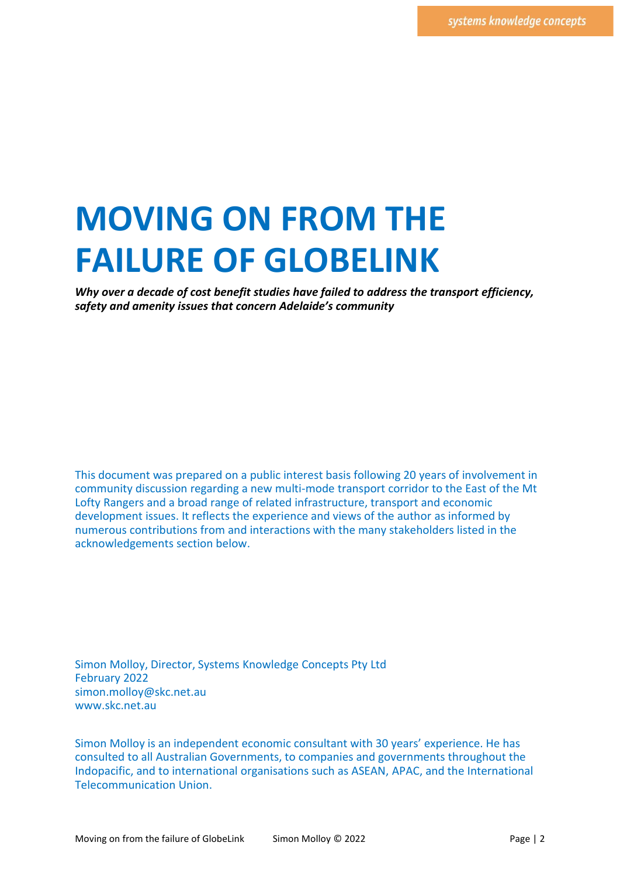# **MOVING ON FROM THE FAILURE OF GLOBELINK**

*Why over a decade of cost benefit studies have failed to address the transport efficiency, safety and amenity issues that concern Adelaide's community* 

This document was prepared on a public interest basis following 20 years of involvement in community discussion regarding a new multi-mode transport corridor to the East of the Mt Lofty Rangers and a broad range of related infrastructure, transport and economic development issues. It reflects the experience and views of the author as informed by numerous contributions from and interactions with the many stakeholders listed in the acknowledgements section below.

Simon Molloy, Director, Systems Knowledge Concepts Pty Ltd February 2022 simon.molloy@skc.net.au www.skc.net.au

Simon Molloy is an independent economic consultant with 30 years' experience. He has consulted to all Australian Governments, to companies and governments throughout the Indopacific, and to international organisations such as ASEAN, APAC, and the International Telecommunication Union.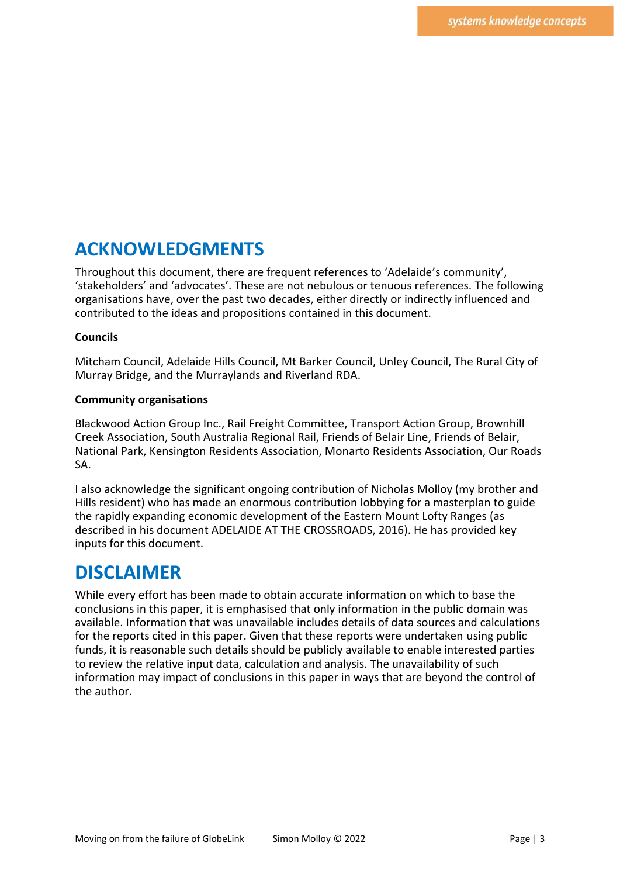# **ACKNOWLEDGMENTS**

Throughout this document, there are frequent references to 'Adelaide's community', 'stakeholders' and 'advocates'. These are not nebulous or tenuous references. The following organisations have, over the past two decades, either directly or indirectly influenced and contributed to the ideas and propositions contained in this document.

#### **Councils**

Mitcham Council, Adelaide Hills Council, Mt Barker Council, Unley Council, The Rural City of Murray Bridge, and the Murraylands and Riverland RDA.

#### **Community organisations**

Blackwood Action Group Inc., Rail Freight Committee, Transport Action Group, Brownhill Creek Association, South Australia Regional Rail, Friends of Belair Line, Friends of Belair, National Park, Kensington Residents Association, Monarto Residents Association, Our Roads SA.

I also acknowledge the significant ongoing contribution of Nicholas Molloy (my brother and Hills resident) who has made an enormous contribution lobbying for a masterplan to guide the rapidly expanding economic development of the Eastern Mount Lofty Ranges (as described in his document ADELAIDE AT THE CROSSROADS, 2016). He has provided key inputs for this document.

#### **DISCLAIMER**

While every effort has been made to obtain accurate information on which to base the conclusions in this paper, it is emphasised that only information in the public domain was available. Information that was unavailable includes details of data sources and calculations for the reports cited in this paper. Given that these reports were undertaken using public funds, it is reasonable such details should be publicly available to enable interested parties to review the relative input data, calculation and analysis. The unavailability of such information may impact of conclusions in this paper in ways that are beyond the control of the author.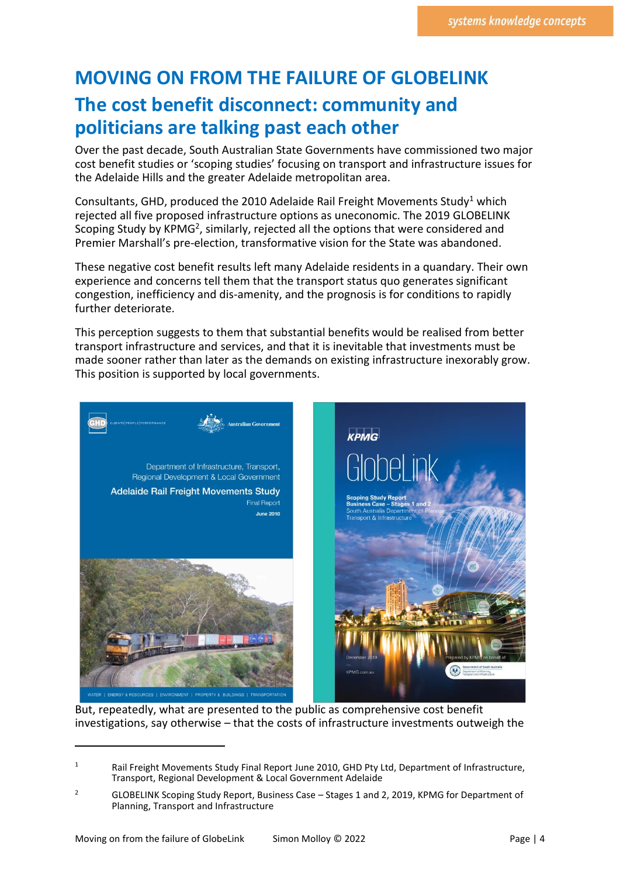# **MOVING ON FROM THE FAILURE OF GLOBELINK The cost benefit disconnect: community and politicians are talking past each other**

Over the past decade, South Australian State Governments have commissioned two major cost benefit studies or 'scoping studies' focusing on transport and infrastructure issues for the Adelaide Hills and the greater Adelaide metropolitan area.

Consultants, GHD, produced the 2010 Adelaide Rail Freight Movements Study<sup>1</sup> which rejected all five proposed infrastructure options as uneconomic. The 2019 GLOBELINK Scoping Study by KPMG<sup>2</sup>, similarly, rejected all the options that were considered and Premier Marshall's pre-election, transformative vision for the State was abandoned.

These negative cost benefit results left many Adelaide residents in a quandary. Their own experience and concerns tell them that the transport status quo generates significant congestion, inefficiency and dis-amenity, and the prognosis is for conditions to rapidly further deteriorate.

This perception suggests to them that substantial benefits would be realised from better transport infrastructure and services, and that it is inevitable that investments must be made sooner rather than later as the demands on existing infrastructure inexorably grow. This position is supported by local governments.



But, repeatedly, what are presented to the public as comprehensive cost benefit investigations, say otherwise – that the costs of infrastructure investments outweigh the

<sup>1</sup> Rail Freight Movements Study Final Report June 2010, GHD Pty Ltd, Department of Infrastructure, Transport, Regional Development & Local Government Adelaide

<sup>&</sup>lt;sup>2</sup> GLOBELINK Scoping Study Report, Business Case – Stages 1 and 2, 2019, KPMG for Department of Planning, Transport and Infrastructure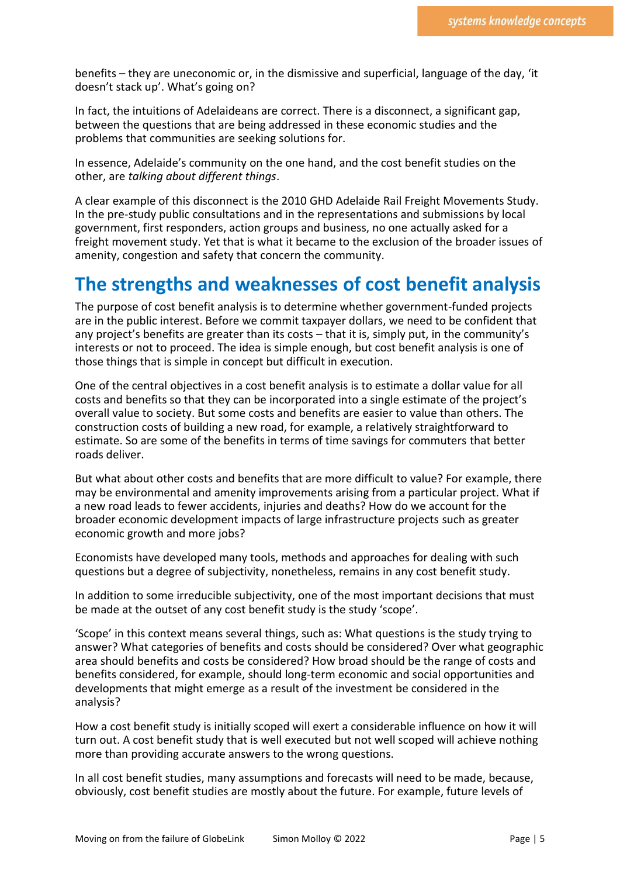benefits – they are uneconomic or, in the dismissive and superficial, language of the day, 'it doesn't stack up'. What's going on?

In fact, the intuitions of Adelaideans are correct. There is a disconnect, a significant gap, between the questions that are being addressed in these economic studies and the problems that communities are seeking solutions for.

In essence, Adelaide's community on the one hand, and the cost benefit studies on the other, are *talking about different things*.

A clear example of this disconnect is the 2010 GHD Adelaide Rail Freight Movements Study. In the pre-study public consultations and in the representations and submissions by local government, first responders, action groups and business, no one actually asked for a freight movement study. Yet that is what it became to the exclusion of the broader issues of amenity, congestion and safety that concern the community.

### **The strengths and weaknesses of cost benefit analysis**

The purpose of cost benefit analysis is to determine whether government-funded projects are in the public interest. Before we commit taxpayer dollars, we need to be confident that any project's benefits are greater than its costs – that it is, simply put, in the community's interests or not to proceed. The idea is simple enough, but cost benefit analysis is one of those things that is simple in concept but difficult in execution.

One of the central objectives in a cost benefit analysis is to estimate a dollar value for all costs and benefits so that they can be incorporated into a single estimate of the project's overall value to society. But some costs and benefits are easier to value than others. The construction costs of building a new road, for example, a relatively straightforward to estimate. So are some of the benefits in terms of time savings for commuters that better roads deliver.

But what about other costs and benefits that are more difficult to value? For example, there may be environmental and amenity improvements arising from a particular project. What if a new road leads to fewer accidents, injuries and deaths? How do we account for the broader economic development impacts of large infrastructure projects such as greater economic growth and more jobs?

Economists have developed many tools, methods and approaches for dealing with such questions but a degree of subjectivity, nonetheless, remains in any cost benefit study.

In addition to some irreducible subjectivity, one of the most important decisions that must be made at the outset of any cost benefit study is the study 'scope'.

'Scope' in this context means several things, such as: What questions is the study trying to answer? What categories of benefits and costs should be considered? Over what geographic area should benefits and costs be considered? How broad should be the range of costs and benefits considered, for example, should long-term economic and social opportunities and developments that might emerge as a result of the investment be considered in the analysis?

How a cost benefit study is initially scoped will exert a considerable influence on how it will turn out. A cost benefit study that is well executed but not well scoped will achieve nothing more than providing accurate answers to the wrong questions.

In all cost benefit studies, many assumptions and forecasts will need to be made, because, obviously, cost benefit studies are mostly about the future. For example, future levels of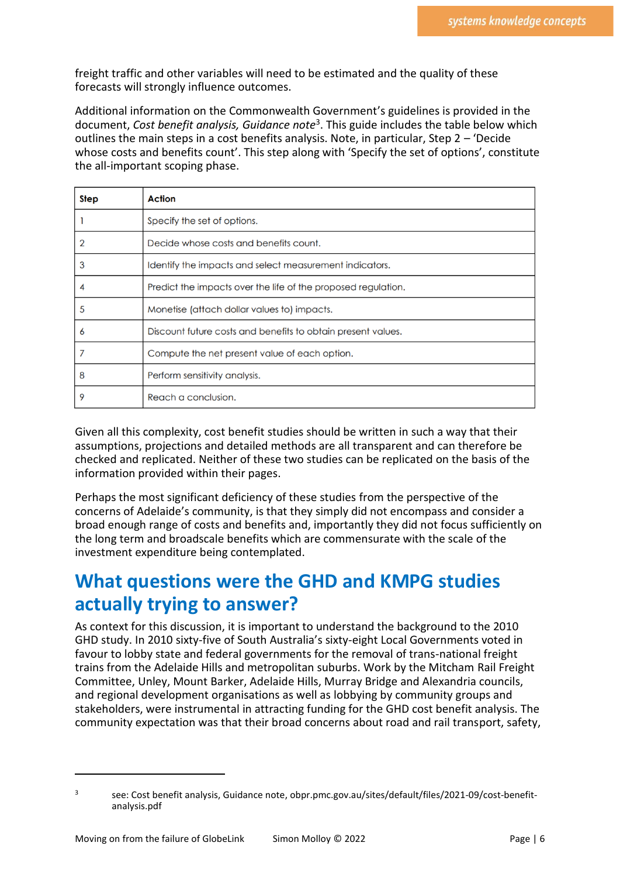freight traffic and other variables will need to be estimated and the quality of these forecasts will strongly influence outcomes.

Additional information on the Commonwealth Government's guidelines is provided in the document, *Cost benefit analysis, Guidance note*<sup>3</sup> . This guide includes the table below which outlines the main steps in a cost benefits analysis. Note, in particular, Step 2 – 'Decide whose costs and benefits count'. This step along with 'Specify the set of options', constitute the all-important scoping phase.

| <b>Step</b> | Action                                                        |
|-------------|---------------------------------------------------------------|
|             | Specify the set of options.                                   |
|             | Decide whose costs and benefits count.                        |
| 3           | Identify the impacts and select measurement indicators.       |
| 4           | Predict the impacts over the life of the proposed regulation. |
| 5           | Monetise (attach dollar values to) impacts.                   |
| 6           | Discount future costs and benefits to obtain present values.  |
|             | Compute the net present value of each option.                 |
| 8           | Perform sensitivity analysis.                                 |
| 9           | Reach a conclusion.                                           |

Given all this complexity, cost benefit studies should be written in such a way that their assumptions, projections and detailed methods are all transparent and can therefore be checked and replicated. Neither of these two studies can be replicated on the basis of the information provided within their pages.

Perhaps the most significant deficiency of these studies from the perspective of the concerns of Adelaide's community, is that they simply did not encompass and consider a broad enough range of costs and benefits and, importantly they did not focus sufficiently on the long term and broadscale benefits which are commensurate with the scale of the investment expenditure being contemplated.

# **What questions were the GHD and KMPG studies actually trying to answer?**

As context for this discussion, it is important to understand the background to the 2010 GHD study. In 2010 sixty-five of South Australia's sixty-eight Local Governments voted in favour to lobby state and federal governments for the removal of trans-national freight trains from the Adelaide Hills and metropolitan suburbs. Work by the Mitcham Rail Freight Committee, Unley, Mount Barker, Adelaide Hills, Murray Bridge and Alexandria councils, and regional development organisations as well as lobbying by community groups and stakeholders, were instrumental in attracting funding for the GHD cost benefit analysis. The community expectation was that their broad concerns about road and rail transport, safety,

<sup>3</sup> see: Cost benefit analysis, Guidance note, obpr.pmc.gov.au/sites/default/files/2021-09/cost-benefitanalysis.pdf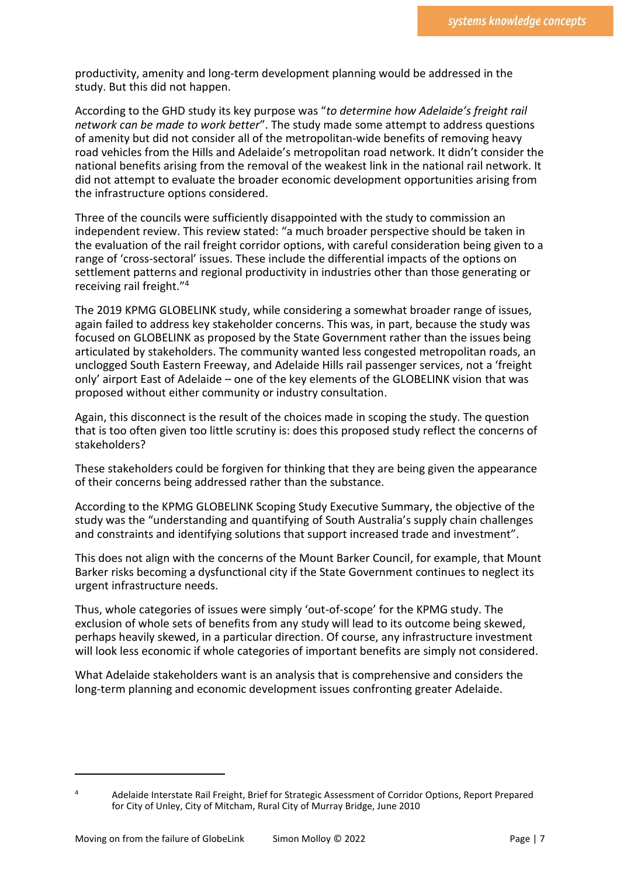productivity, amenity and long-term development planning would be addressed in the study. But this did not happen.

According to the GHD study its key purpose was "*to determine how Adelaide's freight rail network can be made to work better*". The study made some attempt to address questions of amenity but did not consider all of the metropolitan-wide benefits of removing heavy road vehicles from the Hills and Adelaide's metropolitan road network. It didn't consider the national benefits arising from the removal of the weakest link in the national rail network. It did not attempt to evaluate the broader economic development opportunities arising from the infrastructure options considered.

Three of the councils were sufficiently disappointed with the study to commission an independent review. This review stated: "a much broader perspective should be taken in the evaluation of the rail freight corridor options, with careful consideration being given to a range of 'cross-sectoral' issues. These include the differential impacts of the options on settlement patterns and regional productivity in industries other than those generating or receiving rail freight."<sup>4</sup>

The 2019 KPMG GLOBELINK study, while considering a somewhat broader range of issues, again failed to address key stakeholder concerns. This was, in part, because the study was focused on GLOBELINK as proposed by the State Government rather than the issues being articulated by stakeholders. The community wanted less congested metropolitan roads, an unclogged South Eastern Freeway, and Adelaide Hills rail passenger services, not a 'freight only' airport East of Adelaide – one of the key elements of the GLOBELINK vision that was proposed without either community or industry consultation.

Again, this disconnect is the result of the choices made in scoping the study. The question that is too often given too little scrutiny is: does this proposed study reflect the concerns of stakeholders?

These stakeholders could be forgiven for thinking that they are being given the appearance of their concerns being addressed rather than the substance.

According to the KPMG GLOBELINK Scoping Study Executive Summary, the objective of the study was the "understanding and quantifying of South Australia's supply chain challenges and constraints and identifying solutions that support increased trade and investment".

This does not align with the concerns of the Mount Barker Council, for example, that Mount Barker risks becoming a dysfunctional city if the State Government continues to neglect its urgent infrastructure needs.

Thus, whole categories of issues were simply 'out-of-scope' for the KPMG study. The exclusion of whole sets of benefits from any study will lead to its outcome being skewed, perhaps heavily skewed, in a particular direction. Of course, any infrastructure investment will look less economic if whole categories of important benefits are simply not considered.

What Adelaide stakeholders want is an analysis that is comprehensive and considers the long-term planning and economic development issues confronting greater Adelaide.

<sup>4</sup> Adelaide Interstate Rail Freight, Brief for Strategic Assessment of Corridor Options, Report Prepared for City of Unley, City of Mitcham, Rural City of Murray Bridge, June 2010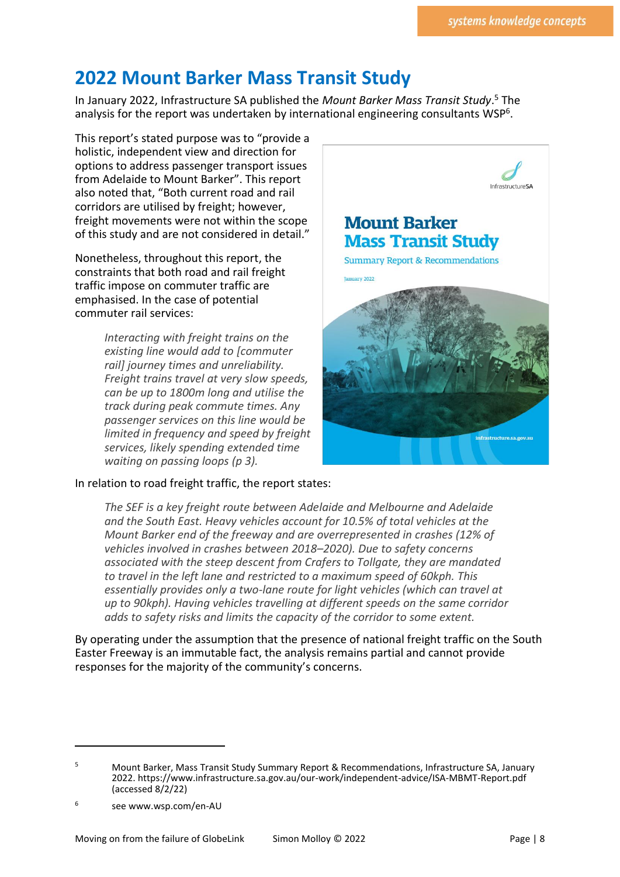# **2022 Mount Barker Mass Transit Study**

In January 2022, Infrastructure SA published the *Mount Barker Mass Transit Study*. <sup>5</sup> The analysis for the report was undertaken by international engineering consultants WSP<sup>6</sup>.

This report's stated purpose was to "provide a holistic, independent view and direction for options to address passenger transport issues from Adelaide to Mount Barker". This report also noted that, "Both current road and rail corridors are utilised by freight; however, freight movements were not within the scope of this study and are not considered in detail."

Nonetheless, throughout this report, the constraints that both road and rail freight traffic impose on commuter traffic are emphasised. In the case of potential commuter rail services:

> *Interacting with freight trains on the existing line would add to [commuter rail] journey times and unreliability. Freight trains travel at very slow speeds, can be up to 1800m long and utilise the track during peak commute times. Any passenger services on this line would be limited in frequency and speed by freight services, likely spending extended time waiting on passing loops (p 3).*



*The SEF is a key freight route between Adelaide and Melbourne and Adelaide and the South East. Heavy vehicles account for 10.5% of total vehicles at the Mount Barker end of the freeway and are overrepresented in crashes (12% of vehicles involved in crashes between 2018–2020). Due to safety concerns associated with the steep descent from Crafers to Tollgate, they are mandated to travel in the left lane and restricted to a maximum speed of 60kph. This essentially provides only a two-lane route for light vehicles (which can travel at up to 90kph). Having vehicles travelling at different speeds on the same corridor adds to safety risks and limits the capacity of the corridor to some extent.*

By operating under the assumption that the presence of national freight traffic on the South Easter Freeway is an immutable fact, the analysis remains partial and cannot provide responses for the majority of the community's concerns.



<sup>5</sup> Mount Barker, Mass Transit Study Summary Report & Recommendations, Infrastructure SA, January 2022[. https://www.infrastructure.sa.gov.au/our-work/independent-advice/ISA-MBMT-Report.pdf](https://www.infrastructure.sa.gov.au/our-work/independent-advice/ISA-MBMT-Report.pdf) (accessed 8/2/22)

<sup>6</sup> see www.wsp.com/en-AU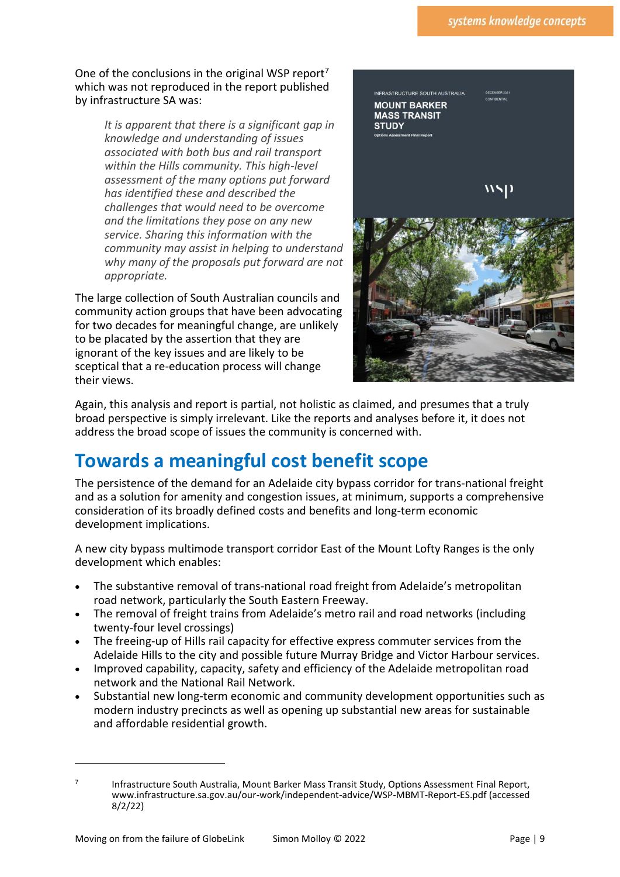One of the conclusions in the original WSP report<sup>7</sup> which was not reproduced in the report published by infrastructure SA was:

> *It is apparent that there is a significant gap in knowledge and understanding of issues associated with both bus and rail transport within the Hills community. This high-level assessment of the many options put forward has identified these and described the challenges that would need to be overcome and the limitations they pose on any new service. Sharing this information with the community may assist in helping to understand why many of the proposals put forward are not appropriate.*

The large collection of South Australian councils and community action groups that have been advocating for two decades for meaningful change, are unlikely to be placated by the assertion that they are ignorant of the key issues and are likely to be sceptical that a re-education process will change their views.



Again, this analysis and report is partial, not holistic as claimed, and presumes that a truly broad perspective is simply irrelevant. Like the reports and analyses before it, it does not address the broad scope of issues the community is concerned with.

# **Towards a meaningful cost benefit scope**

The persistence of the demand for an Adelaide city bypass corridor for trans-national freight and as a solution for amenity and congestion issues, at minimum, supports a comprehensive consideration of its broadly defined costs and benefits and long-term economic development implications.

A new city bypass multimode transport corridor East of the Mount Lofty Ranges is the only development which enables:

- The substantive removal of trans-national road freight from Adelaide's metropolitan road network, particularly the South Eastern Freeway.
- The removal of freight trains from Adelaide's metro rail and road networks (including twenty-four level crossings)
- The freeing-up of Hills rail capacity for effective express commuter services from the Adelaide Hills to the city and possible future Murray Bridge and Victor Harbour services.
- Improved capability, capacity, safety and efficiency of the Adelaide metropolitan road network and the National Rail Network.
- Substantial new long-term economic and community development opportunities such as modern industry precincts as well as opening up substantial new areas for sustainable and affordable residential growth.

<sup>7</sup>

Infrastructure South Australia, Mount Barker Mass Transit Study, Options Assessment Final Report, [www.infrastructure.sa.gov.au/our-work/independent-advice/WSP-MBMT-Report-ES.pdf](http://www.infrastructure.sa.gov.au/our-work/independent-advice/WSP-MBMT-Report-ES.pdf) (accessed 8/2/22)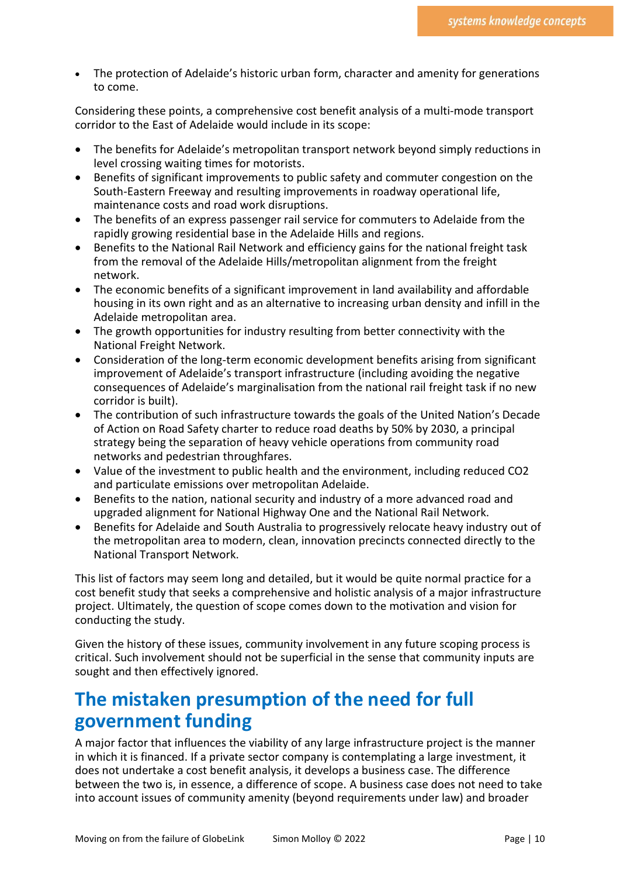• The protection of Adelaide's historic urban form, character and amenity for generations to come.

Considering these points, a comprehensive cost benefit analysis of a multi-mode transport corridor to the East of Adelaide would include in its scope:

- The benefits for Adelaide's metropolitan transport network beyond simply reductions in level crossing waiting times for motorists.
- Benefits of significant improvements to public safety and commuter congestion on the South-Eastern Freeway and resulting improvements in roadway operational life, maintenance costs and road work disruptions.
- The benefits of an express passenger rail service for commuters to Adelaide from the rapidly growing residential base in the Adelaide Hills and regions.
- Benefits to the National Rail Network and efficiency gains for the national freight task from the removal of the Adelaide Hills/metropolitan alignment from the freight network.
- The economic benefits of a significant improvement in land availability and affordable housing in its own right and as an alternative to increasing urban density and infill in the Adelaide metropolitan area.
- The growth opportunities for industry resulting from better connectivity with the National Freight Network.
- Consideration of the long-term economic development benefits arising from significant improvement of Adelaide's transport infrastructure (including avoiding the negative consequences of Adelaide's marginalisation from the national rail freight task if no new corridor is built).
- The contribution of such infrastructure towards the goals of the United Nation's Decade of Action on Road Safety charter to reduce road deaths by 50% by 2030, a principal strategy being the separation of heavy vehicle operations from community road networks and pedestrian throughfares.
- Value of the investment to public health and the environment, including reduced CO2 and particulate emissions over metropolitan Adelaide.
- Benefits to the nation, national security and industry of a more advanced road and upgraded alignment for National Highway One and the National Rail Network.
- Benefits for Adelaide and South Australia to progressively relocate heavy industry out of the metropolitan area to modern, clean, innovation precincts connected directly to the National Transport Network.

This list of factors may seem long and detailed, but it would be quite normal practice for a cost benefit study that seeks a comprehensive and holistic analysis of a major infrastructure project. Ultimately, the question of scope comes down to the motivation and vision for conducting the study.

Given the history of these issues, community involvement in any future scoping process is critical. Such involvement should not be superficial in the sense that community inputs are sought and then effectively ignored.

# **The mistaken presumption of the need for full government funding**

A major factor that influences the viability of any large infrastructure project is the manner in which it is financed. If a private sector company is contemplating a large investment, it does not undertake a cost benefit analysis, it develops a business case. The difference between the two is, in essence, a difference of scope. A business case does not need to take into account issues of community amenity (beyond requirements under law) and broader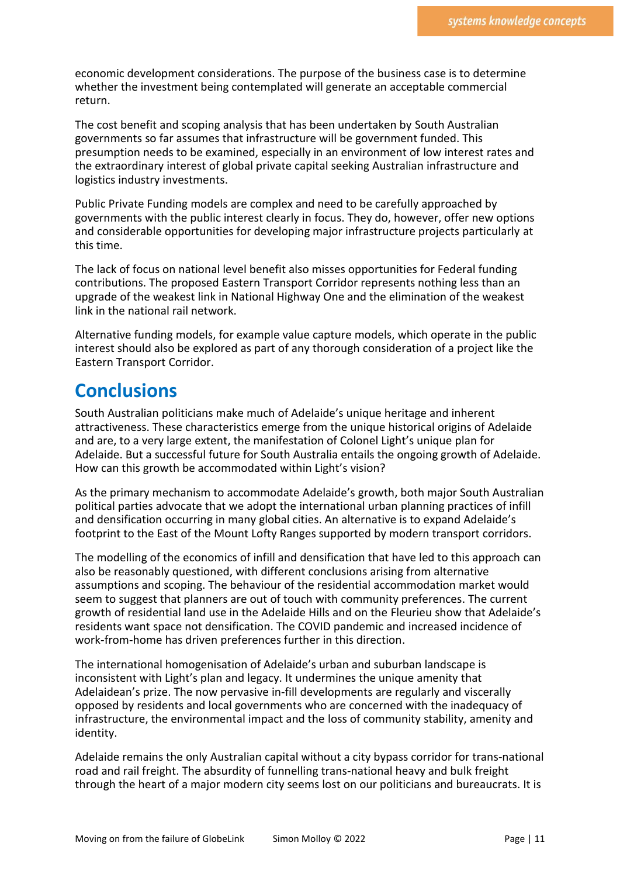economic development considerations. The purpose of the business case is to determine whether the investment being contemplated will generate an acceptable commercial return.

The cost benefit and scoping analysis that has been undertaken by South Australian governments so far assumes that infrastructure will be government funded. This presumption needs to be examined, especially in an environment of low interest rates and the extraordinary interest of global private capital seeking Australian infrastructure and logistics industry investments.

Public Private Funding models are complex and need to be carefully approached by governments with the public interest clearly in focus. They do, however, offer new options and considerable opportunities for developing major infrastructure projects particularly at this time.

The lack of focus on national level benefit also misses opportunities for Federal funding contributions. The proposed Eastern Transport Corridor represents nothing less than an upgrade of the weakest link in National Highway One and the elimination of the weakest link in the national rail network.

Alternative funding models, for example value capture models, which operate in the public interest should also be explored as part of any thorough consideration of a project like the Eastern Transport Corridor.

### **Conclusions**

South Australian politicians make much of Adelaide's unique heritage and inherent attractiveness. These characteristics emerge from the unique historical origins of Adelaide and are, to a very large extent, the manifestation of Colonel Light's unique plan for Adelaide. But a successful future for South Australia entails the ongoing growth of Adelaide. How can this growth be accommodated within Light's vision?

As the primary mechanism to accommodate Adelaide's growth, both major South Australian political parties advocate that we adopt the international urban planning practices of infill and densification occurring in many global cities. An alternative is to expand Adelaide's footprint to the East of the Mount Lofty Ranges supported by modern transport corridors.

The modelling of the economics of infill and densification that have led to this approach can also be reasonably questioned, with different conclusions arising from alternative assumptions and scoping. The behaviour of the residential accommodation market would seem to suggest that planners are out of touch with community preferences. The current growth of residential land use in the Adelaide Hills and on the Fleurieu show that Adelaide's residents want space not densification. The COVID pandemic and increased incidence of work-from-home has driven preferences further in this direction.

The international homogenisation of Adelaide's urban and suburban landscape is inconsistent with Light's plan and legacy. It undermines the unique amenity that Adelaidean's prize. The now pervasive in-fill developments are regularly and viscerally opposed by residents and local governments who are concerned with the inadequacy of infrastructure, the environmental impact and the loss of community stability, amenity and identity.

Adelaide remains the only Australian capital without a city bypass corridor for trans-national road and rail freight. The absurdity of funnelling trans-national heavy and bulk freight through the heart of a major modern city seems lost on our politicians and bureaucrats. It is